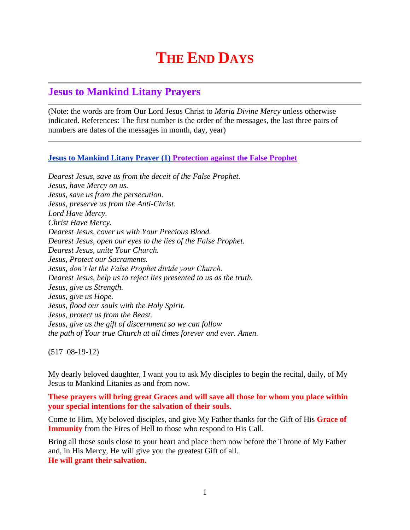# **THE END DAYS**

## **Jesus to Mankind Litany Prayers**

(Note: the words are from Our Lord Jesus Christ to *Maria Divine Mercy* unless otherwise indicated. References: The first number is the order of the messages, the last three pairs of numbers are dates of the messages in month, day, year)

### **Jesus to Mankind Litany Prayer (1) Protection against the False Prophet**

*Dearest Jesus, save us from the deceit of the False Prophet. Jesus, have Mercy on us. Jesus, save us from the persecution. Jesus, preserve us from the Anti-Christ. Lord Have Mercy. Christ Have Mercy. Dearest Jesus, cover us with Your Precious Blood. Dearest Jesus, open our eyes to the lies of the False Prophet. Dearest Jesus, unite Your Church. Jesus, Protect our Sacraments. Jesus, don't let the False Prophet divide your Church. Dearest Jesus, help us to reject lies presented to us as the truth. Jesus, give us Strength. Jesus, give us Hope. Jesus, flood our souls with the Holy Spirit. Jesus, protect us from the Beast. Jesus, give us the gift of discernment so we can follow the path of Your true Church at all times forever and ever. Amen.*

(517 08-19-12)

My dearly beloved daughter, I want you to ask My disciples to begin the recital, daily, of My Jesus to Mankind Litanies as and from now.

**These prayers will bring great Graces and will save all those for whom you place within your special intentions for the salvation of their souls.**

Come to Him, My beloved disciples, and give My Father thanks for the Gift of His **Grace of Immunity** from the Fires of Hell to those who respond to His Call.

Bring all those souls close to your heart and place them now before the Throne of My Father and, in His Mercy, He will give you the greatest Gift of all. **He will grant their salvation.**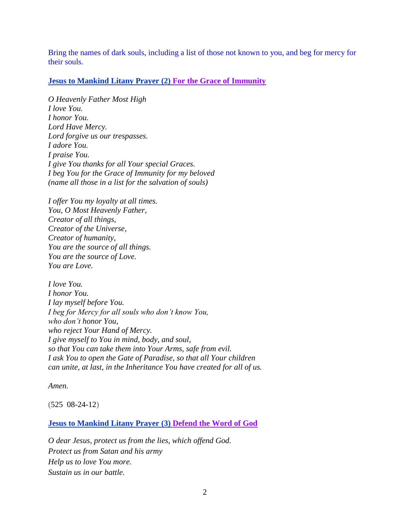Bring the names of dark souls, including a list of those not known to you, and beg for mercy for their souls.

### **Jesus to Mankind Litany Prayer (2) For the Grace of Immunity**

*O Heavenly Father Most High I love You. I honor You. Lord Have Mercy. Lord forgive us our trespasses. I adore You. I praise You. I give You thanks for all Your special Graces. I beg You for the Grace of Immunity for my beloved (name all those in a list for the salvation of souls)*

*I offer You my loyalty at all times. You, O Most Heavenly Father, Creator of all things, Creator of the Universe, Creator of humanity, You are the source of all things. You are the source of Love. You are Love.*

*I love You. I honor You. I lay myself before You. I beg for Mercy for all souls who don't know You, who don't honor You, who reject Your Hand of Mercy. I give myself to You in mind, body, and soul, so that You can take them into Your Arms, safe from evil. I ask You to open the Gate of Paradise, so that all Your children can unite, at last, in the Inheritance You have created for all of us.*

*Amen.*

(525 08-24-12)

**Jesus to Mankind Litany Prayer (3) Defend the Word of God**

*O dear Jesus, protect us from the lies, which offend God. Protect us from Satan and his army Help us to love You more. Sustain us in our battle.*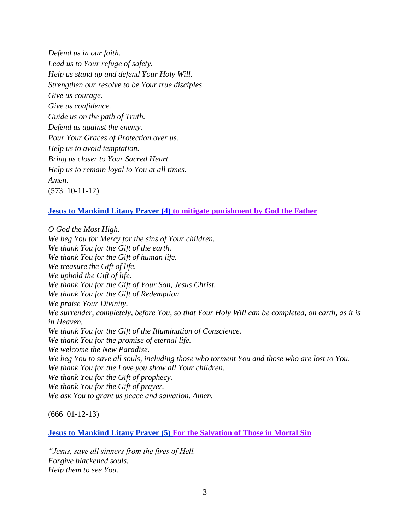*Defend us in our faith. Lead us to Your refuge of safety. Help us stand up and defend Your Holy Will. Strengthen our resolve to be Your true disciples. Give us courage. Give us confidence. Guide us on the path of Truth. Defend us against the enemy. Pour Your Graces of Protection over us. Help us to avoid temptation. Bring us closer to Your Sacred Heart. Help us to remain loyal to You at all times. Amen*. (573 10-11-12)

### **Jesus to Mankind Litany Prayer (4) to mitigate punishment by God the Father**

*O God the Most High. We beg You for Mercy for the sins of Your children. We thank You for the Gift of the earth. We thank You for the Gift of human life. We treasure the Gift of life. We uphold the Gift of life. We thank You for the Gift of Your Son, Jesus Christ. We thank You for the Gift of Redemption. We praise Your Divinity. We surrender, completely, before You, so that Your Holy Will can be completed, on earth, as it is in Heaven. We thank You for the Gift of the Illumination of Conscience. We thank You for the promise of eternal life. We welcome the New Paradise. We beg You to save all souls, including those who torment You and those who are lost to You. We thank You for the Love you show all Your children. We thank You for the Gift of prophecy. We thank You for the Gift of prayer. We ask You to grant us peace and salvation. Amen.*

(666 01-12-13)

#### **Jesus to Mankind Litany Prayer (5) For the Salvation of Those in Mortal Sin**

*"Jesus, save all sinners from the fires of Hell. Forgive blackened souls. Help them to see You.*